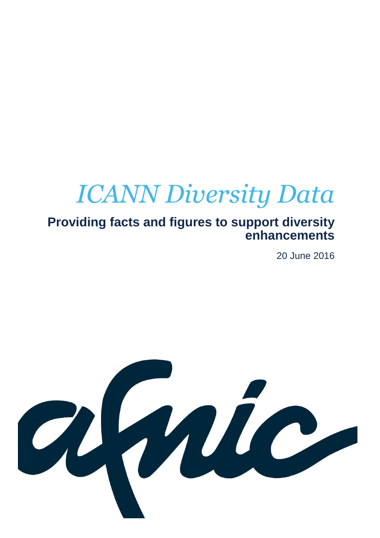# *ICANN Diversity Data*

### **Providing facts and figures to support diversity enhancements**

20 June 2016

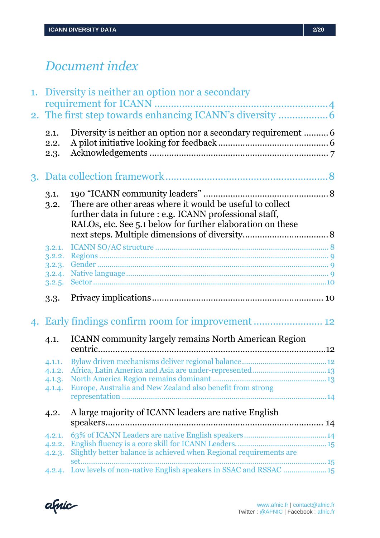## *Document index*

|  |                  | 1. Diversity is neither an option nor a secondary                                                                    |  |
|--|------------------|----------------------------------------------------------------------------------------------------------------------|--|
|  |                  |                                                                                                                      |  |
|  |                  |                                                                                                                      |  |
|  | 2.1.             |                                                                                                                      |  |
|  | 2.2.             |                                                                                                                      |  |
|  | 2.3.             |                                                                                                                      |  |
|  |                  |                                                                                                                      |  |
|  | 3.1.             |                                                                                                                      |  |
|  | 3.2.             | There are other areas where it would be useful to collect<br>further data in future : e.g. ICANN professional staff, |  |
|  |                  | RALOs, etc. See 5.1 below for further elaboration on these                                                           |  |
|  |                  |                                                                                                                      |  |
|  | 3.2.1.           |                                                                                                                      |  |
|  | 3.2.2.<br>3.2.3. |                                                                                                                      |  |
|  | 3.2.4.           |                                                                                                                      |  |
|  | 3.2.5.           |                                                                                                                      |  |
|  | 3.3.             |                                                                                                                      |  |
|  |                  | 4. Early findings confirm room for improvement  12                                                                   |  |
|  | 4.1.             | <b>ICANN</b> community largely remains North American Region                                                         |  |
|  | 4.1.1.           |                                                                                                                      |  |
|  | 4.1.2.           |                                                                                                                      |  |
|  | 4.1.3.           |                                                                                                                      |  |
|  | 4.1.4.           | Europe, Australia and New Zealand also benefit from strong                                                           |  |
|  | 4.2.             | A large majority of ICANN leaders are native English                                                                 |  |
|  |                  |                                                                                                                      |  |
|  | 4.2.1.           |                                                                                                                      |  |
|  | 4.2.2.           |                                                                                                                      |  |
|  | 4.2.3.           | Slightly better balance is achieved when Regional requirements are<br>set                                            |  |
|  |                  | 4.2.4. Low levels of non-native English speakers in SSAC and RSSAC  15                                               |  |

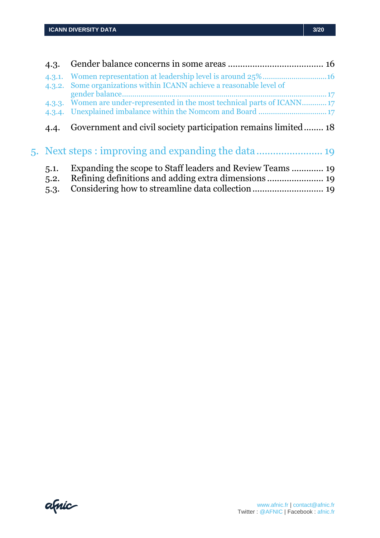| 4.3.         |                                                                           |     |
|--------------|---------------------------------------------------------------------------|-----|
| 4.3.2.       | Some organizations within ICANN achieve a reasonable level of             |     |
|              | 4.3.3. Women are under-represented in the most technical parts of ICANN17 | ,17 |
|              |                                                                           |     |
| 4.4.         | Government and civil society participation remains limited 18             |     |
|              | 5. Next steps : improving and expanding the data                          |     |
| 5.1.<br>5.2. |                                                                           |     |
| 5.3.         |                                                                           |     |
|              |                                                                           |     |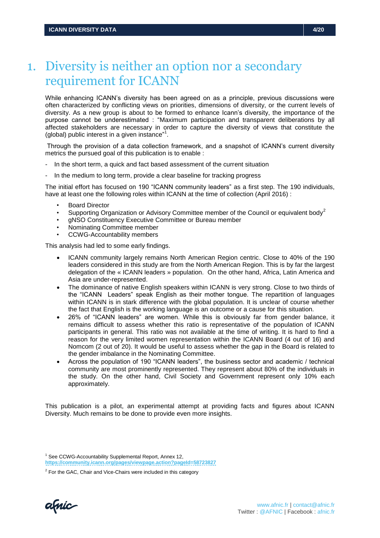### <span id="page-3-0"></span>1. Diversity is neither an option nor a secondary requirement for ICANN

While enhancing ICANN's diversity has been agreed on as a principle, previous discussions were often characterized by conflicting views on priorities, dimensions of diversity, or the current levels of diversity. As a new group is about to be formed to enhance Icann's diversity, the importance of the purpose cannot be underestimated : "Maximum participation and transparent deliberations by all affected stakeholders are necessary in order to capture the diversity of views that constitute the (global) public interest in a given instance"<sup>1</sup>.

Through the provision of a data collection framework, and a snapshot of ICANN's current diversity metrics the pursued goal of this publication is to enable :

- In the short term, a quick and fact based assessment of the current situation
- In the medium to long term, provide a clear baseline for tracking progress

The initial effort has focused on 190 "ICANN community leaders" as a first step. The 190 individuals, have at least one the following roles within ICANN at the time of collection (April 2016) :

- Board Director
- Supporting Organization or Advisory Committee member of the Council or equivalent body<sup>2</sup>
- gNSO Constituency Executive Committee or Bureau member
- Nominating Committee member
- CCWG-Accountability members

This analysis had led to some early findings.

- ICANN community largely remains North American Region centric. Close to 40% of the 190 leaders considered in this study are from the North American Region. This is by far the largest delegation of the « ICANN leaders » population. On the other hand, Africa, Latin America and Asia are under-represented.
- The dominance of native English speakers within ICANN is very strong. Close to two thirds of the "ICANN Leaders" speak English as their mother tongue. The repartition of languages within ICANN is in stark difference with the global population. It is unclear of course whether the fact that English is the working language is an outcome or a cause for this situation.
- 26% of "ICANN leaders" are women. While this is obviously far from gender balance, it remains difficult to assess whether this ratio is representative of the population of ICANN participants in general. This ratio was not available at the time of writing. It is hard to find a reason for the very limited women representation within the ICANN Board (4 out of 16) and Nomcom (2 out of 20). It would be useful to assess whether the gap in the Board is related to the gender imbalance in the Nominating Committee.
- Across the population of 190 "ICANN leaders", the business sector and academic / technical community are most prominently represented. They represent about 80% of the individuals in the study. On the other hand, Civil Society and Government represent only 10% each approximately.

This publication is a pilot, an experimental attempt at providing facts and figures about ICANN Diversity. Much remains to be done to provide even more insights.

amic

<sup>&</sup>lt;sup>1</sup> See CCWG-Accountability Supplemental Report, Annex 12,

**<https://community.icann.org/pages/viewpage.action?pageId=58723827>**

 $2$  For the GAC, Chair and Vice-Chairs were included in this category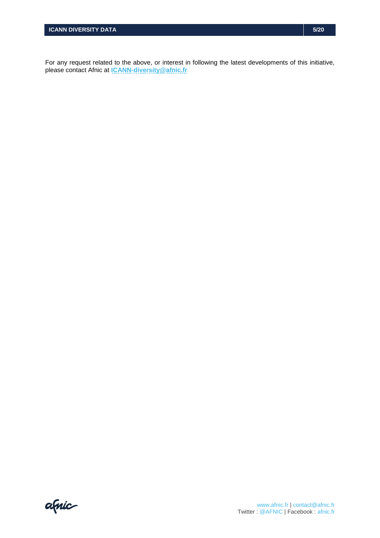For any request related to the above, or interest in following the latest developments of this initiative, please contact Afnic at **[ICANN-diversity@afnic.fr](mailto:Icann-diversity@afnic.fr)**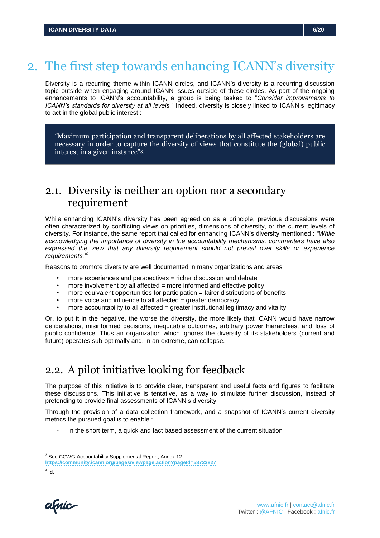## <span id="page-5-0"></span>2. The first step towards enhancing ICANN's diversity

Diversity is a recurring theme within ICANN circles, and ICANN's diversity is a recurring discussion topic outside when engaging around ICANN issues outside of these circles. As part of the ongoing enhancements to ICANN's accountability, a group is being tasked to "*Consider improvements to ICANN's standards for diversity at all levels.*" Indeed, diversity is closely linked to ICANN's legitimacy to act in the global public interest :

*"*Maximum participation and transparent deliberations by all affected stakeholders are necessary in order to capture the diversity of views that constitute the (global) public interest in a given instance" 3 *.*

### <span id="page-5-1"></span>2.1. Diversity is neither an option nor a secondary requirement

While enhancing ICANN's diversity has been agreed on as a principle, previous discussions were often characterized by conflicting views on priorities, dimensions of diversity, or the current levels of diversity. For instance, the same report that called for enhancing ICANN's diversity mentioned : *"While acknowledging the importance of diversity in the accountability mechanisms, commenters have also expressed the view that any diversity requirement should not prevail over skills or experience requirements."<sup>4</sup>*

Reasons to promote diversity are well documented in many organizations and areas :

- more experiences and perspectives = richer discussion and debate
- more involvement by all affected = more informed and effective policy
- more equivalent opportunities for participation = fairer distributions of benefits
- more voice and influence to all affected = greater democracy
- more accountability to all affected = greater institutional legitimacy and vitality

Or, to put it in the negative, the worse the diversity, the more likely that ICANN would have narrow deliberations, misinformed decisions, inequitable outcomes, arbitrary power hierarchies, and loss of public confidence. Thus an organization which ignores the diversity of its stakeholders (current and future) operates sub-optimally and, in an extreme, can collapse.

### <span id="page-5-2"></span>2.2. A pilot initiative looking for feedback

The purpose of this initiative is to provide clear, transparent and useful facts and figures to facilitate these discussions. This initiative is tentative, as a way to stimulate further discussion, instead of pretending to provide final assessments of ICANN's diversity.

Through the provision of a data collection framework, and a snapshot of ICANN's current diversity metrics the pursued goal is to enable :

In the short term, a quick and fact based assessment of the current situation

**<https://community.icann.org/pages/viewpage.action?pageId=58723827>**

 $4$  Id.

amic

<sup>&</sup>lt;sup>3</sup> See CCWG-Accountability Supplemental Report, Annex 12,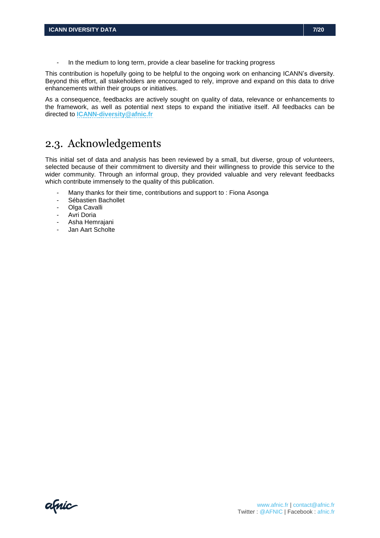This contribution is hopefully going to be helpful to the ongoing work on enhancing ICANN's diversity. Beyond this effort, all stakeholders are encouraged to rely, improve and expand on this data to drive enhancements within their groups or initiatives.

As a consequence, feedbacks are actively sought on quality of data, relevance or enhancements to the framework, as well as potential next steps to expand the initiative itself. All feedbacks can be directed to **[ICANN-diversity@afnic.fr](mailto:Icann-diversity@afnic.fr)**

### <span id="page-6-0"></span>2.3. Acknowledgements

This initial set of data and analysis has been reviewed by a small, but diverse, group of volunteers, selected because of their commitment to diversity and their willingness to provide this service to the wider community. Through an informal group, they provided valuable and very relevant feedbacks which contribute immensely to the quality of this publication.

- Many thanks for their time, contributions and support to: Fiona Asonga
- Sébastien Bachollet
- Olga Cavalli
- Avri Doria
- Asha Hemrajani
- Jan Aart Scholte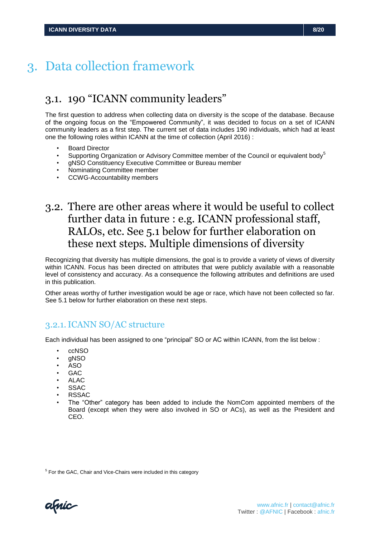### <span id="page-7-0"></span>3. Data collection framework

### <span id="page-7-1"></span>3.1. 190 "ICANN community leaders"

The first question to address when collecting data on diversity is the scope of the database. Because of the ongoing focus on the "Empowered Community", it was decided to focus on a set of ICANN community leaders as a first step. The current set of data includes 190 individuals, which had at least one the following roles within ICANN at the time of collection (April 2016) :

- Board Director
- Supporting Organization or Advisory Committee member of the Council or equivalent body<sup>5</sup>
- gNSO Constituency Executive Committee or Bureau member
- Nominating Committee member
- CCWG-Accountability members

### <span id="page-7-2"></span>3.2. There are other areas where it would be useful to collect further data in future : e.g. ICANN professional staff, RALOs, etc. See 5.1 below for further elaboration on these next steps. Multiple dimensions of diversity

Recognizing that diversity has multiple dimensions, the goal is to provide a variety of views of diversity within ICANN. Focus has been directed on attributes that were publicly available with a reasonable level of consistency and accuracy. As a consequence the following attributes and definitions are used in this publication.

Other areas worthy of further investigation would be age or race, which have not been collected so far. See 5.1 below for further elaboration on these next steps.

#### <span id="page-7-3"></span>3.2.1.ICANN SO/AC structure

Each individual has been assigned to one "principal" SO or AC within ICANN, from the list below :

- ccNSO
- gNSO
- ASO
- GAC
- ALAC
- **SSAC**
- RSSAC
- The "Other" category has been added to include the NomCom appointed members of the Board (except when they were also involved in SO or ACs), as well as the President and CEO.

<sup>5</sup> For the GAC, Chair and Vice-Chairs were included in this category

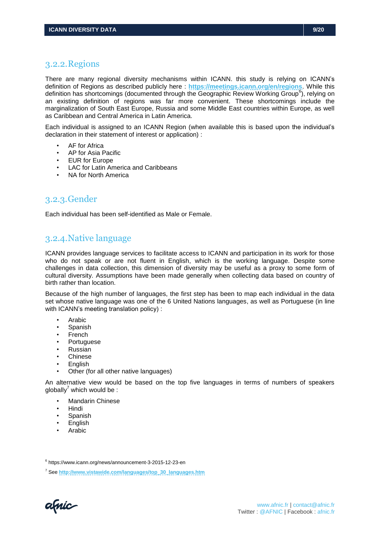#### <span id="page-8-0"></span>3.2.2.Regions

There are many regional diversity mechanisms within ICANN. this study is relying on ICANN's definition of Regions as described publicly here : **<https://meetings.icann.org/en/regions>**. While this definition has shortcomings (documented through the Geographic Review Working Group<sup>6</sup>), relying on an existing definition of regions was far more convenient. These shortcomings include the marginalization of South East Europe, Russia and some Middle East countries within Europe, as well as Caribbean and Central America in Latin America.

Each individual is assigned to an ICANN Region (when available this is based upon the individual's declaration in their statement of interest or application) :

- AF for Africa
- AP for Asia Pacific
- **EUR for Europe**
- LAC for Latin America and Caribbeans
- NA for North America

#### <span id="page-8-1"></span>3.2.3.Gender

<span id="page-8-2"></span>Each individual has been self-identified as Male or Female.

#### 3.2.4.Native language

ICANN provides language services to facilitate access to ICANN and participation in its work for those who do not speak or are not fluent in English, which is the working language. Despite some challenges in data collection, this dimension of diversity may be useful as a proxy to some form of cultural diversity. Assumptions have been made generally when collecting data based on country of birth rather than location.

Because of the high number of languages, the first step has been to map each individual in the data set whose native language was one of the 6 United Nations languages, as well as Portuguese (in line with ICANN's meeting translation policy) :

- Arabic
- **Spanish**
- French
- **Portuguese**
- Russian
- Chinese
- **English**
- Other (for all other native languages)

An alternative view would be based on the top five languages in terms of numbers of speakers  $a$ lobally<sup>7</sup> which would be :

- **Mandarin Chinese**
- Hindi
- **Spanish**
- **English**
- Arabic

6 https://www.icann.org/news/announcement-3-2015-12-23-en

<sup>7</sup> See **[http://www.vistawide.com/languages/top\\_30\\_languages.htm](http://www.vistawide.com/languages/top_30_languages.htm)**

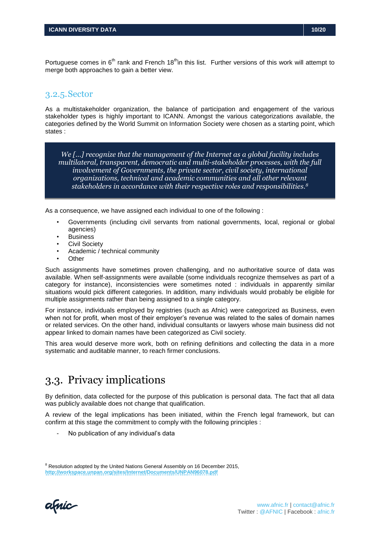#### <span id="page-9-0"></span>3.2.5.Sector

As a multistakeholder organization, the balance of participation and engagement of the various stakeholder types is highly important to ICANN. Amongst the various categorizations available, the categories defined by the World Summit on Information Society were chosen as a starting point, which states :

*We […] recognize that the management of the Internet as a global facility includes multilateral, transparent, democratic and multi-stakeholder processes, with the full involvement of Governments, the private sector, civil society, international organizations, technical and academic communities and all other relevant stakeholders in accordance with their respective roles and responsibilities.<sup>8</sup>*

As a consequence, we have assigned each individual to one of the following :

- Governments (including civil servants from national governments, local, regional or global agencies)
- **Business**
- Civil Society
- Academic / technical community
- Other

Such assignments have sometimes proven challenging, and no authoritative source of data was available. When self-assignments were available (some individuals recognize themselves as part of a category for instance), inconsistencies were sometimes noted : individuals in apparently similar situations would pick different categories. In addition, many individuals would probably be eligible for multiple assignments rather than being assigned to a single category.

For instance, individuals employed by registries (such as Afnic) were categorized as Business, even when not for profit, when most of their employer's revenue was related to the sales of domain names or related services. On the other hand, individual consultants or lawyers whose main business did not appear linked to domain names have been categorized as Civil society.

This area would deserve more work, both on refining definitions and collecting the data in a more systematic and auditable manner, to reach firmer conclusions.

### <span id="page-9-1"></span>3.3. Privacy implications

By definition, data collected for the purpose of this publication is personal data. The fact that all data was publicly available does not change that qualification.

A review of the legal implications has been initiated, within the French legal framework, but can confirm at this stage the commitment to comply with the following principles :

No publication of any individual's data

amic

<sup>&</sup>lt;sup>8</sup> Resolution adopted by the United Nations General Assembly on 16 December 2015, **<http://workspace.unpan.org/sites/Internet/Documents/UNPAN96078.pdf>**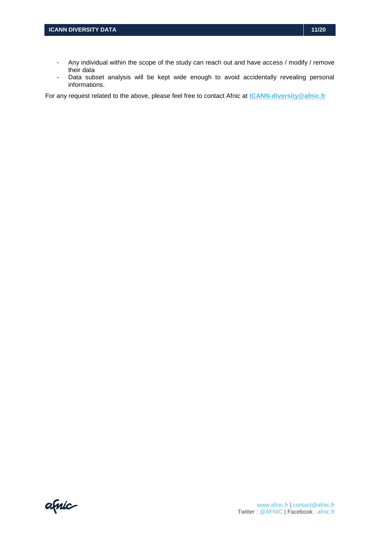- Any individual within the scope of the study can reach out and have access / modify / remove their data
- Data subset analysis will be kept wide enough to avoid accidentally revealing personal informations.

For any request related to the above, please feel free to contact Afnic at **[ICANN-diversity@afnic.fr](mailto:Icann-diversity@afnic.fr)**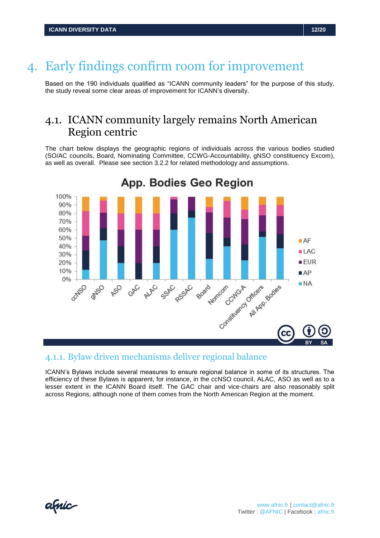### <span id="page-11-0"></span>4. Early findings confirm room for improvement

Based on the 190 individuals qualified as "ICANN community leaders" for the purpose of this study, the study reveal some clear areas of improvement for ICANN's diversity.

### <span id="page-11-1"></span>4.1. ICANN community largely remains North American Region centric

The chart below displays the geographic regions of individuals across the various bodies studied (SO/AC councils, Board, Nominating Committee, CCWG-Accountability, gNSO constituency Excom), as well as overall. Please see section 3.2.2 for related methodology and assumptions.



#### <span id="page-11-2"></span>4.1.1. Bylaw driven mechanisms deliver regional balance

ICANN's Bylaws include several measures to ensure regional balance in some of its structures. The efficiency of these Bylaws is apparent, for instance, in the ccNSO council, ALAC, ASO as well as to a lesser extent in the ICANN Board itself. The GAC chair and vice-chairs are also reasonably split across Regions, although none of them comes from the North American Region at the moment.

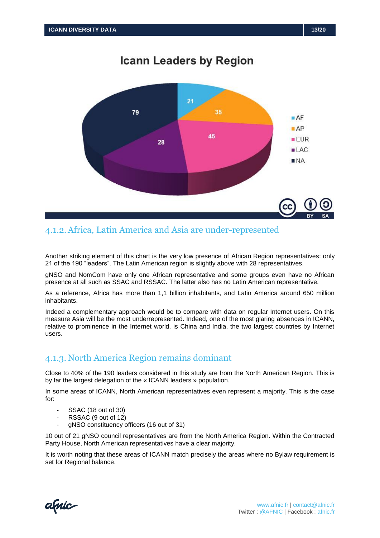

#### <span id="page-12-0"></span>4.1.2.Africa, Latin America and Asia are under-represented

Another striking element of this chart is the very low presence of African Region representatives: only 21 of the 190 "leaders". The Latin American region is slightly above with 28 representatives.

gNSO and NomCom have only one African representative and some groups even have no African presence at all such as SSAC and RSSAC. The latter also has no Latin American representative.

As a reference, Africa has more than 1,1 billion inhabitants, and Latin America around 650 million inhabitants.

Indeed a complementary approach would be to compare with data on regular Internet users. On this measure Asia will be the most underrepresented. Indeed, one of the most glaring absences in ICANN, relative to prominence in the Internet world, is China and India, the two largest countries by Internet users.

#### <span id="page-12-1"></span>4.1.3. North America Region remains dominant

Close to 40% of the 190 leaders considered in this study are from the North American Region. This is by far the largest delegation of the « ICANN leaders » population.

In some areas of ICANN, North American representatives even represent a majority. This is the case for:

- SSAC (18 out of 30)
- RSSAC (9 out of 12)
- gNSO constituency officers (16 out of 31)

10 out of 21 gNSO council representatives are from the North America Region. Within the Contracted Party House, North American representatives have a clear majority.

It is worth noting that these areas of ICANN match precisely the areas where no Bylaw requirement is set for Regional balance.

amic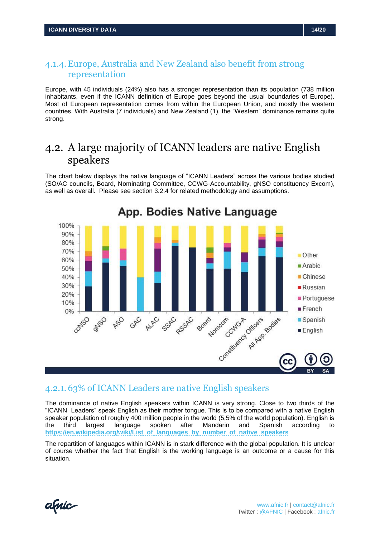#### <span id="page-13-0"></span>4.1.4.Europe, Australia and New Zealand also benefit from strong representation

Europe, with 45 individuals (24%) also has a stronger representation than its population (738 million inhabitants, even if the ICANN definition of Europe goes beyond the usual boundaries of Europe). Most of European representation comes from within the European Union, and mostly the western countries. With Australia (7 individuals) and New Zealand (1), the "Western" dominance remains quite strong.

### <span id="page-13-1"></span>4.2. A large majority of ICANN leaders are native English speakers

The chart below displays the native language of "ICANN Leaders" across the various bodies studied (SO/AC councils, Board, Nominating Committee, CCWG-Accountability, gNSO constituency Excom), as well as overall. Please see section 3.2.4 for related methodology and assumptions.



#### <span id="page-13-2"></span>4.2.1. 63% of ICANN Leaders are native English speakers

The dominance of native English speakers within ICANN is very strong. Close to two thirds of the "ICANN Leaders" speak English as their mother tongue. This is to be compared with a native English speaker population of roughly 400 million people in the world (5,5% of the world population). English is the third largest language spoken after Mandarin and Spanish according to **[https://en.wikipedia.org/wiki/List\\_of\\_languages\\_by\\_number\\_of\\_native\\_speakers](https://en.wikipedia.org/wiki/List_of_languages_by_number_of_native_speakers)**

The repartition of languages within ICANN is in stark difference with the global population. It is unclear of course whether the fact that English is the working language is an outcome or a cause for this situation.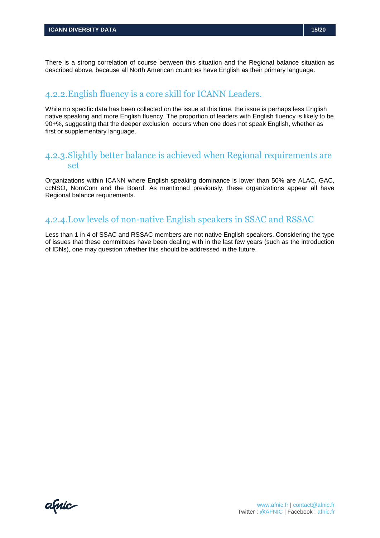There is a strong correlation of course between this situation and the Regional balance situation as described above, because all North American countries have English as their primary language.

#### <span id="page-14-0"></span>4.2.2.English fluency is a core skill for ICANN Leaders.

While no specific data has been collected on the issue at this time, the issue is perhaps less English native speaking and more English fluency. The proportion of leaders with English fluency is likely to be 90+%, suggesting that the deeper exclusion occurs when one does not speak English, whether as first or supplementary language.

#### <span id="page-14-1"></span>4.2.3.Slightly better balance is achieved when Regional requirements are set

Organizations within ICANN where English speaking dominance is lower than 50% are ALAC, GAC, ccNSO, NomCom and the Board. As mentioned previously, these organizations appear all have Regional balance requirements.

#### <span id="page-14-2"></span>4.2.4.Low levels of non-native English speakers in SSAC and RSSAC

Less than 1 in 4 of SSAC and RSSAC members are not native English speakers. Considering the type of issues that these committees have been dealing with in the last few years (such as the introduction of IDNs), one may question whether this should be addressed in the future.

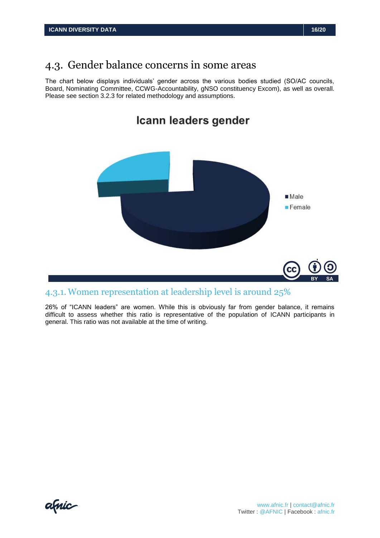### <span id="page-15-0"></span>4.3. Gender balance concerns in some areas

The chart below displays individuals' gender across the various bodies studied (SO/AC councils, Board, Nominating Committee, CCWG-Accountability, gNSO constituency Excom), as well as overall. Please see section 3.2.3 for related methodology and assumptions.



### <span id="page-15-1"></span>4.3.1. Women representation at leadership level is around 25%

26% of "ICANN leaders" are women. While this is obviously far from gender balance, it remains difficult to assess whether this ratio is representative of the population of ICANN participants in general. This ratio was not available at the time of writing.

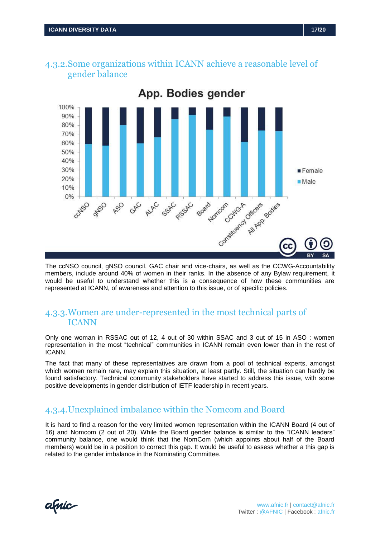

<span id="page-16-0"></span>4.3.2.Some organizations within ICANN achieve a reasonable level of gender balance

The ccNSO council, gNSO council, GAC chair and vice-chairs, as well as the CCWG-Accountability members, include around 40% of women in their ranks. In the absence of any Bylaw requirement, it would be useful to understand whether this is a consequence of how these communities are represented at ICANN, of awareness and attention to this issue, or of specific policies.

#### <span id="page-16-1"></span>4.3.3.Women are under-represented in the most technical parts of ICANN

Only one woman in RSSAC out of 12, 4 out of 30 within SSAC and 3 out of 15 in ASO : women representation in the most "technical" communities in ICANN remain even lower than in the rest of ICANN.

The fact that many of these representatives are drawn from a pool of technical experts, amongst which women remain rare, may explain this situation, at least partly. Still, the situation can hardly be found satisfactory. Technical community stakeholders have started to address this issue, with some positive developments in gender distribution of IETF leadership in recent years.

#### <span id="page-16-2"></span>4.3.4.Unexplained imbalance within the Nomcom and Board

It is hard to find a reason for the very limited women representation within the ICANN Board (4 out of 16) and Nomcom (2 out of 20). While the Board gender balance is similar to the "ICANN leaders" community balance, one would think that the NomCom (which appoints about half of the Board members) would be in a position to correct this gap. It would be useful to assess whether a this gap is related to the gender imbalance in the Nominating Committee.

afnic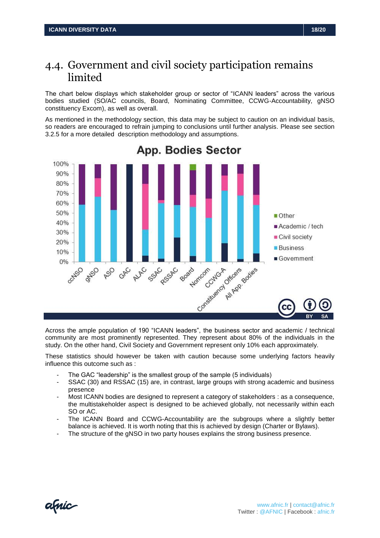### <span id="page-17-0"></span>4.4. Government and civil society participation remains limited

The chart below displays which stakeholder group or sector of "ICANN leaders" across the various bodies studied (SO/AC councils, Board, Nominating Committee, CCWG-Accountability, gNSO constituency Excom), as well as overall.

As mentioned in the methodology section, this data may be subject to caution on an individual basis, so readers are encouraged to refrain jumping to conclusions until further analysis. Please see section 3.2.5 for a more detailed description methodology and assumptions.



### **App. Bodies Sector**

Across the ample population of 190 "ICANN leaders", the business sector and academic / technical community are most prominently represented. They represent about 80% of the individuals in the study. On the other hand, Civil Society and Government represent only 10% each approximately.

These statistics should however be taken with caution because some underlying factors heavily influence this outcome such as :

- The GAC "leadership" is the smallest group of the sample (5 individuals)
- SSAC (30) and RSSAC (15) are, in contrast, large groups with strong academic and business presence
- Most ICANN bodies are designed to represent a category of stakeholders : as a consequence, the multistakeholder aspect is designed to be achieved globally, not necessarily within each SO or AC.
- The ICANN Board and CCWG-Accountability are the subgroups where a slightly better balance is achieved. It is worth noting that this is achieved by design (Charter or Bylaws).
- The structure of the gNSO in two party houses explains the strong business presence.

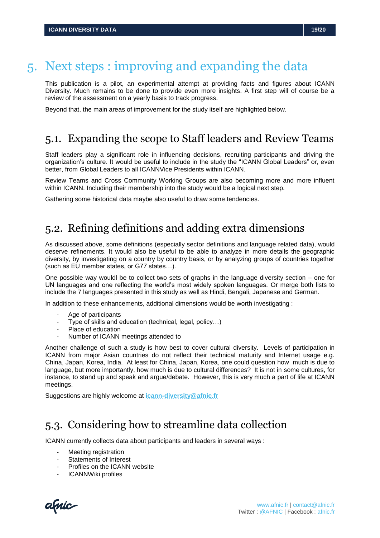### <span id="page-18-0"></span>5. Next steps : improving and expanding the data

This publication is a pilot, an experimental attempt at providing facts and figures about ICANN Diversity. Much remains to be done to provide even more insights. A first step will of course be a review of the assessment on a yearly basis to track progress.

<span id="page-18-1"></span>Beyond that, the main areas of improvement for the study itself are highlighted below.

### 5.1. Expanding the scope to Staff leaders and Review Teams

Staff leaders play a significant role in influencing decisions, recruiting participants and driving the organization's culture. It would be useful to include in the study the "ICANN Global Leaders" or, even better, from Global Leaders to all ICANNVice Presidents within ICANN.

Review Teams and Cross Community Working Groups are also becoming more and more influent within ICANN. Including their membership into the study would be a logical next step.

<span id="page-18-2"></span>Gathering some historical data maybe also useful to draw some tendencies.

### 5.2. Refining definitions and adding extra dimensions

As discussed above, some definitions (especially sector definitions and language related data), would deserve refinements. It would also be useful to be able to analyze in more details the geographic diversity, by investigating on a country by country basis, or by analyzing groups of countries together (such as EU member states, or G77 states…).

One possible way wouldl be to collect two sets of graphs in the language diversity section – one for UN languages and one reflecting the world's most widely spoken languages. Or merge both lists to include the 7 languages presented in this study as well as Hindi, Bengali, Japanese and German.

In addition to these enhancements, additional dimensions would be worth investigating :

- Age of participants
- Type of skills and education (technical, legal, policy…)
- Place of education
- Number of ICANN meetings attended to

Another challenge of such a study is how best to cover cultural diversity. Levels of participation in ICANN from major Asian countries do not reflect their technical maturity and Internet usage e.g. China, Japan, Korea, India. At least for China, Japan, Korea, one could question how much is due to language, but more importantly, how much is due to cultural differences? It is not in some cultures, for instance, to stand up and speak and argue/debate. However, this is very much a part of life at ICANN meetings.

<span id="page-18-3"></span>Suggestions are highly welcome at **[icann-diversity@afnic.fr](mailto:icann-diversity@afnic.fr)**

### 5.3. Considering how to streamline data collection

ICANN currently collects data about participants and leaders in several ways :

- Meeting registration
- Statements of Interest
- Profiles on the ICANN website
- ICANNWiki profiles